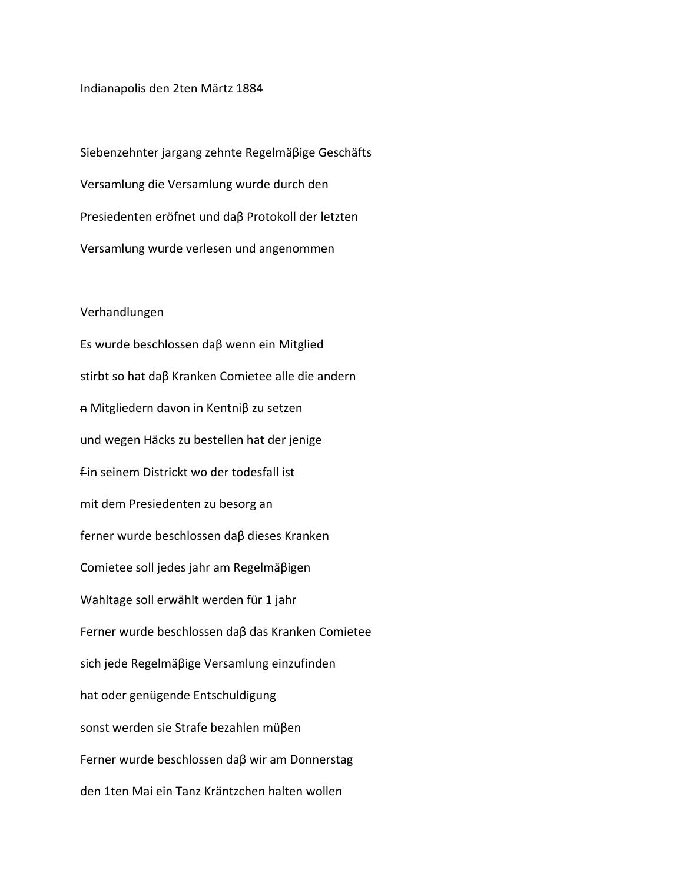Indianapolis den 2ten Märtz 1884

Siebenzehnter jargang zehnte Regelmäβige Geschäfts Versamlung die Versamlung wurde durch den Presiedenten eröfnet und daβ Protokoll der letzten Versamlung wurde verlesen und angenommen

## Verhandlungen

Es wurde beschlossen daβ wenn ein Mitglied stirbt so hat daβ Kranken Comietee alle die andern n Mitgliedern davon in Kentniβ zu setzen und wegen Häcks zu bestellen hat der jenige fin seinem Districkt wo der todesfall ist mit dem Presiedenten zu besorg an ferner wurde beschlossen daβ dieses Kranken Comietee soll jedes jahr am Regelmäβigen Wahltage soll erwählt werden für 1 jahr Ferner wurde beschlossen daβ das Kranken Comietee sich jede Regelmäβige Versamlung einzufinden hat oder genügende Entschuldigung sonst werden sie Strafe bezahlen müβen Ferner wurde beschlossen daβ wir am Donnerstag den 1ten Mai ein Tanz Kräntzchen halten wollen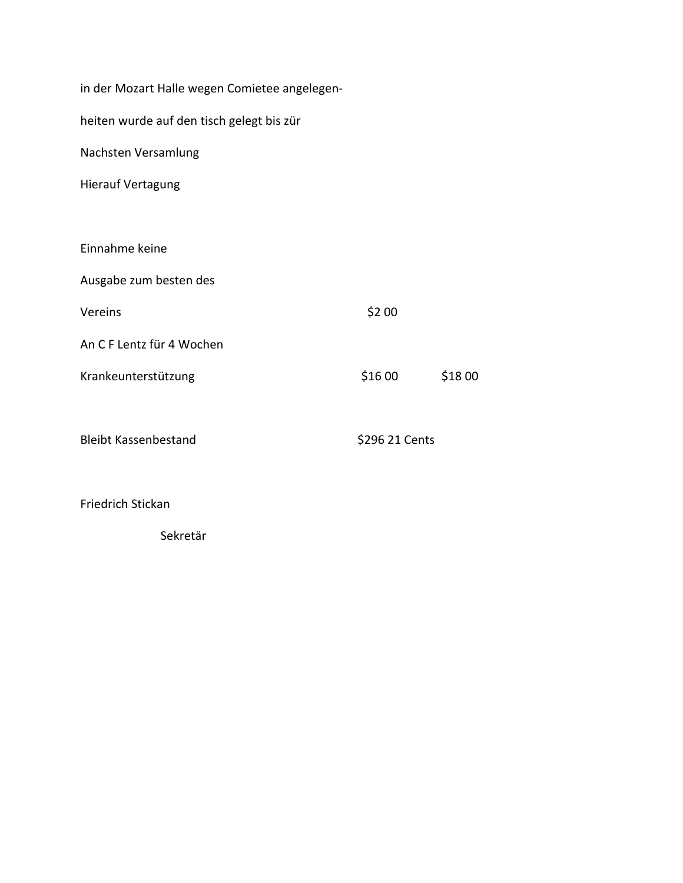| in der Mozart Halle wegen Comietee angelegen- |                |        |
|-----------------------------------------------|----------------|--------|
| heiten wurde auf den tisch gelegt bis zür     |                |        |
| Nachsten Versamlung                           |                |        |
| <b>Hierauf Vertagung</b>                      |                |        |
|                                               |                |        |
| Einnahme keine                                |                |        |
| Ausgabe zum besten des                        |                |        |
| Vereins                                       | \$2 00         |        |
| An C F Lentz für 4 Wochen                     |                |        |
| Krankeunterstützung                           | \$16 00        | \$1800 |
|                                               |                |        |
| <b>Bleibt Kassenbestand</b>                   | \$296 21 Cents |        |
|                                               |                |        |
| <b>Friedrich Stickan</b>                      |                |        |

Sekretär